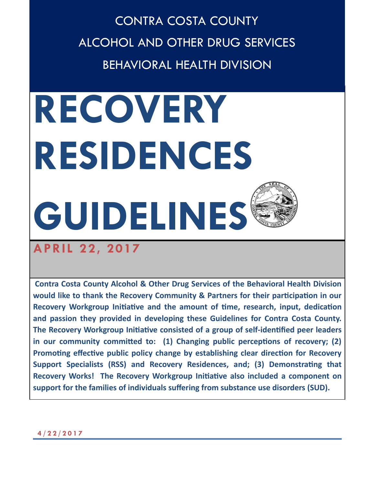CONTRA COSTA COUNTY ALCOHOL AND OTHER DRUG SERVICES BEHAVIORAL HEALTH DIVISION

# **RECOVERY RESIDENCES GUIDELINES**

# **APRIL 22, 2017**

**Contra Costa County Alcohol & Other Drug Services of the Behavioral Health Division would like to thank the Recovery Community & Partners for their participation in our Recovery Workgroup Initiative and the amount of time, research, input, dedication and passion they provided in developing these Guidelines for Contra Costa County. The Recovery Workgroup Initiative consisted of a group of self-identified peer leaders in our community committed to: (1) Changing public perceptions of recovery; (2) Promoting effective public policy change by establishing clear direction for Recovery Support Specialists (RSS) and Recovery Residences, and; (3) Demonstrating that Recovery Works! The Recovery Workgroup Initiative also included a component on support for the families of individuals suffering from substance use disorders (SUD).**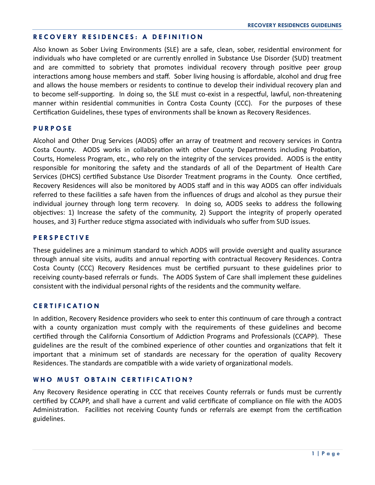#### **R E C O V E RY R E S I D E N C E S : A D E F I N I T I O N**

Also known as Sober Living Environments (SLE) are a safe, clean, sober, residential environment for individuals who have completed or are currently enrolled in Substance Use Disorder (SUD) treatment and are committed to sobriety that promotes individual recovery through positive peer group interactions among house members and staff. Sober living housing is affordable, alcohol and drug free and allows the house members or residents to continue to develop their individual recovery plan and to become self-supporting. In doing so, the SLE must co-exist in a respectful, lawful, non-threatening manner within residential communities in Contra Costa County (CCC). For the purposes of these Certification Guidelines, these types of environments shall be known as Recovery Residences.

#### **P U R P O S E**

Alcohol and Other Drug Services (AODS) offer an array of treatment and recovery services in Contra Costa County. AODS works in collaboration with other County Departments including Probation, Courts, Homeless Program, etc., who rely on the integrity of the services provided. AODS is the entity responsible for monitoring the safety and the standards of all of the Department of Health Care Services (DHCS) certified Substance Use Disorder Treatment programs in the County. Once certified, Recovery Residences will also be monitored by AODS staff and in this way AODS can offer individuals referred to these facilities a safe haven from the influences of drugs and alcohol as they pursue their individual journey through long term recovery. In doing so, AODS seeks to address the following objectives: 1) Increase the safety of the community, 2) Support the integrity of properly operated houses, and 3) Further reduce stigma associated with individuals who suffer from SUD issues.

#### **P E R S P E C T I V E**

These guidelines are a minimum standard to which AODS will provide oversight and quality assurance through annual site visits, audits and annual reporting with contractual Recovery Residences. Contra Costa County (CCC) Recovery Residences must be certified pursuant to these guidelines prior to receiving county-based referrals or funds. The AODS System of Care shall implement these guidelines consistent with the individual personal rights of the residents and the community welfare.

#### **C E R T I F I C A T I O N**

In addition, Recovery Residence providers who seek to enter this continuum of care through a contract with a county organization must comply with the requirements of these guidelines and become certified through the California Consortium of Addiction Programs and Professionals (CCAPP). These guidelines are the result of the combined experience of other counties and organizations that felt it important that a minimum set of standards are necessary for the operation of quality Recovery Residences. The standards are compatible with a wide variety of organizational models.

#### WHO MUST OBTAIN CERTIFICATION?

Any Recovery Residence operating in CCC that receives County referrals or funds must be currently certified by CCAPP, and shall have a current and valid certificate of compliance on file with the AODS Administration. Facilities not receiving County funds or referrals are exempt from the certification guidelines.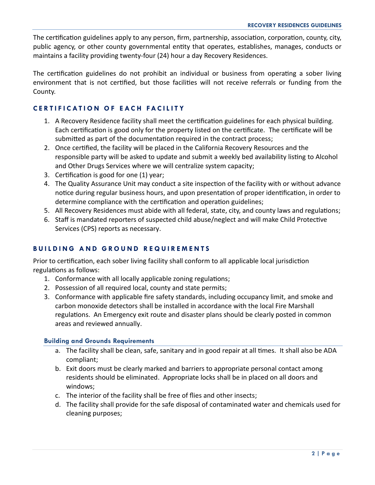The certification guidelines apply to any person, firm, partnership, association, corporation, county, city, public agency, or other county governmental entity that operates, establishes, manages, conducts or maintains a facility providing twenty-four (24) hour a day Recovery Residences.

The certification guidelines do not prohibit an individual or business from operating a sober living environment that is not certified, but those facilities will not receive referrals or funding from the County.

# **CERTIFICATION OF EACH FACILITY**

- 1. A Recovery Residence facility shall meet the certification guidelines for each physical building. Each certification is good only for the property listed on the certificate. The certificate will be submitted as part of the documentation required in the contract process;
- 2. Once certified, the facility will be placed in the California Recovery Resources and the responsible party will be asked to update and submit a weekly bed availability listing to Alcohol and Other Drugs Services where we will centralize system capacity;
- 3. Certification is good for one (1) year;
- 4. The Quality Assurance Unit may conduct a site inspection of the facility with or without advance notice during regular business hours, and upon presentation of proper identification, in order to determine compliance with the certification and operation guidelines;
- 5. All Recovery Residences must abide with all federal, state, city, and county laws and regulations;
- 6. Staff is mandated reporters of suspected child abuse/neglect and will make Child Protective Services (CPS) reports as necessary.

# **BUILDING AND GROUND REQUIREMENTS**

Prior to certification, each sober living facility shall conform to all applicable local jurisdiction regulations as follows:

- 1. Conformance with all locally applicable zoning regulations;
- 2. Possession of all required local, county and state permits;
- 3. Conformance with applicable fire safety standards, including occupancy limit, and smoke and carbon monoxide detectors shall be installed in accordance with the local Fire Marshall regulations. An Emergency exit route and disaster plans should be clearly posted in common areas and reviewed annually.

# **Building and Grounds Requirements**

- a. The facility shall be clean, safe, sanitary and in good repair at all times. It shall also be ADA compliant;
- b. Exit doors must be clearly marked and barriers to appropriate personal contact among residents should be eliminated. Appropriate locks shall be in placed on all doors and windows;
- c. The interior of the facility shall be free of flies and other insects;
- d. The facility shall provide for the safe disposal of contaminated water and chemicals used for cleaning purposes;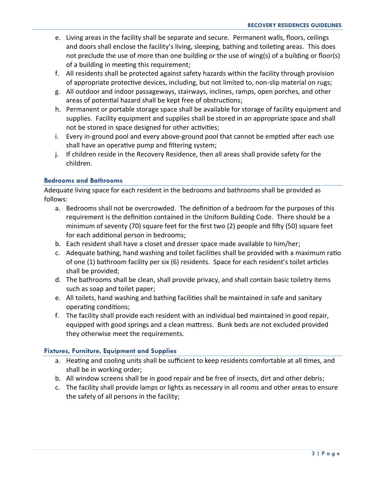- e. Living areas in the facility shall be separate and secure. Permanent walls, floors, ceilings and doors shall enclose the facility's living, sleeping, bathing and toileting areas. This does not preclude the use of more than one building or the use of wing(s) of a building or floor(s) of a building in meeting this requirement;
- f. All residents shall be protected against safety hazards within the facility through provision of appropriate protective devices, including, but not limited to, non-slip material on rugs;
- g. All outdoor and indoor passageways, stairways, inclines, ramps, open porches, and other areas of potential hazard shall be kept free of obstructions;
- h. Permanent or portable storage space shall be available for storage of facility equipment and supplies. Facility equipment and supplies shall be stored in an appropriate space and shall not be stored in space designed for other activities;
- i. Every in-ground pool and every above-ground pool that cannot be emptied after each use shall have an operative pump and filtering system;
- j. If children reside in the Recovery Residence, then all areas shall provide safety for the children.

#### **Bedrooms and Bathrooms**

Adequate living space for each resident in the bedrooms and bathrooms shall be provided as follows:

- a. Bedrooms shall not be overcrowded. The definition of a bedroom for the purposes of this requirement is the definition contained in the Uniform Building Code. There should be a minimum of seventy (70) square feet for the first two (2) people and fifty (50) square feet for each additional person in bedrooms;
- b. Each resident shall have a closet and dresser space made available to him/her;
- c. Adequate bathing, hand washing and toilet facilities shall be provided with a maximum ratio of one (1) bathroom facility per six (6) residents. Space for each resident's toilet articles shall be provided;
- d. The bathrooms shall be clean, shall provide privacy, and shall contain basic toiletry items such as soap and toilet paper;
- e. All toilets, hand washing and bathing facilities shall be maintained in safe and sanitary operating conditions;
- f. The facility shall provide each resident with an individual bed maintained in good repair, equipped with good springs and a clean mattress. Bunk beds are not excluded provided they otherwise meet the requirements.

#### **Fixtures, Furniture, Equipment and Supplies**

- a. Heating and cooling units shall be sufficient to keep residents comfortable at all times, and shall be in working order;
- b. All window screens shall be in good repair and be free of insects, dirt and other debris;
- c. The facility shall provide lamps or lights as necessary in all rooms and other areas to ensure the safety of all persons in the facility;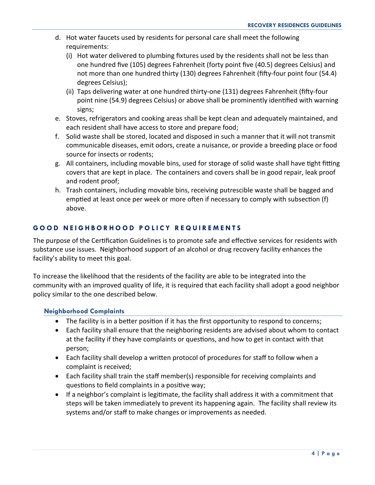- d. Hot water faucets used by residents for personal care shall meet the following requirements:
	- (i) Hot water delivered to plumbing fixtures used by the residents shall not be less than one hundred five (105) degrees Fahrenheit (forty point five (40.5) degrees Celsius) and not more than one hundred thirty (130) degrees Fahrenheit (fifty-four point four (54.4) degrees Celsius);
	- (ii) Taps delivering water at one hundred thirty-one (131) degrees Fahrenheit (fifty-four point nine (54.9) degrees Celsius) or above shall be prominently identified with warning signs;
- e. Stoves, refrigerators and cooking areas shall be kept clean and adequately maintained, and each resident shall have access to store and prepare food;
- f. Solid waste shall be stored, located and disposed in such a manner that it will not transmit communicable diseases, emit odors, create a nuisance, or provide a breeding place or food source for insects or rodents;
- g. All containers, including movable bins, used for storage of solid waste shall have tight fitting covers that are kept in place. The containers and covers shall be in good repair, leak proof and rodent proof;
- h. Trash containers, including movable bins, receiving putrescible waste shall be bagged and emptied at least once per week or more often if necessary to comply with subsection (f) above.

# **G O O D N E I G H B O R H O O D P O L I C Y R E Q U I R E M E N T S**

The purpose of the Certification Guidelines is to promote safe and effective services for residents with substance use issues. Neighborhood support of an alcohol or drug recovery facility enhances the facility's ability to meet this goal.

To increase the likelihood that the residents of the facility are able to be integrated into the community with an improved quality of life, it is required that each facility shall adopt a good neighbor policy similar to the one described below.

#### **Neighborhood Complaints**

- The facility is in a better position if it has the first opportunity to respond to concerns;
- Each facility shall ensure that the neighboring residents are advised about whom to contact at the facility if they have complaints or questions, and how to get in contact with that person;
- Each facility shall develop a written protocol of procedures for staff to follow when a complaint is received;
- Each facility shall train the staff member(s) responsible for receiving complaints and questions to field complaints in a positive way;
- If a neighbor's complaint is legitimate, the facility shall address it with a commitment that steps will be taken immediately to prevent its happening again. The facility shall review its systems and/or staff to make changes or improvements as needed.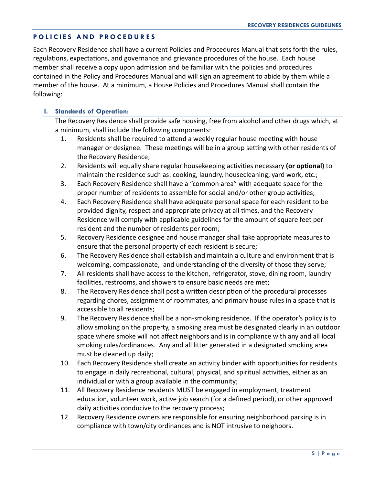# **P O L I C I E S A N D P R O C E D U R E S**

Each Recovery Residence shall have a current Policies and Procedures Manual that sets forth the rules, regulations, expectations, and governance and grievance procedures of the house. Each house member shall receive a copy upon admission and be familiar with the policies and procedures contained in the Policy and Procedures Manual and will sign an agreement to abide by them while a member of the house. At a minimum, a House Policies and Procedures Manual shall contain the following:

#### **I. Standards of Operation:**

The Recovery Residence shall provide safe housing, free from alcohol and other drugs which, at a minimum, shall include the following components:

- 1. Residents shall be required to attend a weekly regular house meeting with house manager or designee. These meetings will be in a group setting with other residents of the Recovery Residence;
- 2. Residents will equally share regular housekeeping activities necessary **(or optional)** to maintain the residence such as: cooking, laundry, housecleaning, yard work, etc.;
- 3. Each Recovery Residence shall have a "common area" with adequate space for the proper number of residents to assemble for social and/or other group activities;
- 4. Each Recovery Residence shall have adequate personal space for each resident to be provided dignity, respect and appropriate privacy at all times, and the Recovery Residence will comply with applicable guidelines for the amount of square feet per resident and the number of residents per room;
- 5. Recovery Residence designee and house manager shall take appropriate measures to ensure that the personal property of each resident is secure;
- 6. The Recovery Residence shall establish and maintain a culture and environment that is welcoming, compassionate, and understanding of the diversity of those they serve;
- 7. All residents shall have access to the kitchen, refrigerator, stove, dining room, laundry facilities, restrooms, and showers to ensure basic needs are met;
- 8. The Recovery Residence shall post a written description of the procedural processes regarding chores, assignment of roommates, and primary house rules in a space that is accessible to all residents;
- 9. The Recovery Residence shall be a non-smoking residence. If the operator's policy is to allow smoking on the property, a smoking area must be designated clearly in an outdoor space where smoke will not affect neighbors and is in compliance with any and all local smoking rules/ordinances. Any and all litter generated in a designated smoking area must be cleaned up daily;
- 10. Each Recovery Residence shall create an activity binder with opportunities for residents to engage in daily recreational, cultural, physical, and spiritual activities, either as an individual or with a group available in the community;
- 11. All Recovery Residence residents MUST be engaged in employment, treatment education, volunteer work, active job search (for a defined period), or other approved daily activities conducive to the recovery process;
- 12. Recovery Residence owners are responsible for ensuring neighborhood parking is in compliance with town/city ordinances and is NOT intrusive to neighbors.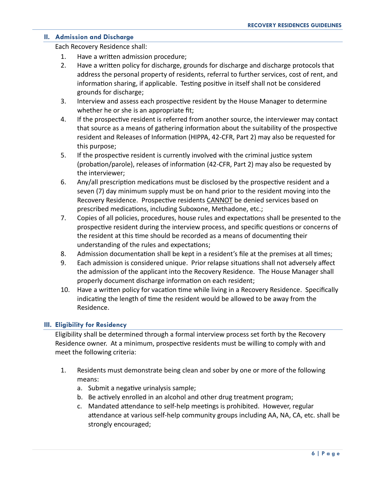#### **II. Admission and Discharge**

Each Recovery Residence shall:

- 1. Have a written admission procedure;
- 2. Have a written policy for discharge, grounds for discharge and discharge protocols that address the personal property of residents, referral to further services, cost of rent, and information sharing, if applicable. Testing positive in itself shall not be considered grounds for discharge;
- 3. Interview and assess each prospective resident by the House Manager to determine whether he or she is an appropriate fit;
- 4. If the prospective resident is referred from another source, the interviewer may contact that source as a means of gathering information about the suitability of the prospective resident and Releases of Information (HIPPA, 42-CFR, Part 2) may also be requested for this purpose;
- 5. If the prospective resident is currently involved with the criminal justice system (probation/parole), releases of information (42-CFR, Part 2) may also be requested by the interviewer;
- 6. Any/all prescription medications must be disclosed by the prospective resident and a seven (7) day minimum supply must be on hand prior to the resident moving into the Recovery Residence. Prospective residents CANNOT be denied services based on prescribed medications, including Suboxone, Methadone, etc.;
- 7. Copies of all policies, procedures, house rules and expectations shall be presented to the prospective resident during the interview process, and specific questions or concerns of the resident at this time should be recorded as a means of documenting their understanding of the rules and expectations;
- 8. Admission documentation shall be kept in a resident's file at the premises at all times;
- 9. Each admission is considered unique. Prior relapse situations shall not adversely affect the admission of the applicant into the Recovery Residence. The House Manager shall properly document discharge information on each resident;
- 10. Have a written policy for vacation time while living in a Recovery Residence. Specifically indicating the length of time the resident would be allowed to be away from the Residence.

#### **III. Eligibility for Residency**

Eligibility shall be determined through a formal interview process set forth by the Recovery Residence owner. At a minimum, prospective residents must be willing to comply with and meet the following criteria:

- 1. Residents must demonstrate being clean and sober by one or more of the following means:
	- a. Submit a negative urinalysis sample;
	- b. Be actively enrolled in an alcohol and other drug treatment program;
	- c. Mandated attendance to self-help meetings is prohibited. However, regular attendance at various self-help community groups including AA, NA, CA, etc. shall be strongly encouraged;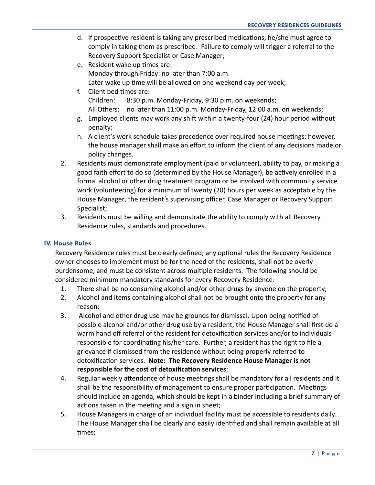- d. If prospective resident is taking any prescribed medications, he/she must agree to comply in taking them as prescribed. Failure to comply will trigger a referral to the Recovery Support Specialist or Case Manager;
- e. Resident wake up times are: Monday through Friday: no later than 7:00 a.m. Later wake up time will be allowed on one weekend day per week;
- f. Client bed times are: Children: 8:30 p.m. Monday-Friday, 9:30 p.m. on weekends; All Others: no later than 11:00 p.m. Monday-Friday, 12:00 a.m. on weekends;
- g. Employed clients may work any shift within a twenty-four (24) hour period without penalty;
- h. A client's work schedule takes precedence over required house meetings; however, the house manager shall make an effort to inform the client of any decisions made or policy changes.
- 2. Residents must demonstrate employment (paid or volunteer), ability to pay, or making a good faith effort to do so (determined by the House Manager), be actively enrolled in a formal alcohol or other drug treatment program or be involved with community service work (volunteering) for a minimum of twenty (20) hours per week as acceptable by the House Manager, the resident's supervising officer, Case Manager or Recovery Support Specialist;
- 3. Residents must be willing and demonstrate the ability to comply with all Recovery Residence rules, standards and procedures.

#### **IV. House Rules**

Recovery Residence rules must be clearly defined; any optional rules the Recovery Residence owner chooses to implement must be for the need of the residents, shall not be overly burdensome, and must be consistent across multiple residents. The following should be considered minimum mandatory standards for every Recovery Residence:

- 1. There shall be no consuming alcohol and/or other drugs by anyone on the property;
- 2. Alcohol and items containing alcohol shall not be brought onto the property for any reason;
- 3. Alcohol and other drug use may be grounds for dismissal. Upon being notified of possible alcohol and/or other drug use by a resident, the House Manager shall first do a warm hand off referral of the resident for detoxification services and/or to individuals responsible for coordinating his/her care. Further, a resident has the right to file a grievance if dismissed from the residence without being properly referred to detoxification services. **Note: The Recovery Residence House Manager is not responsible for the cost of detoxification services**;
- 4. Regular weekly attendance of house meetings shall be mandatory for all residents and it shall be the responsibility of management to ensure proper participation. Meetings should include an agenda, which should be kept in a binder including a brief summary of actions taken in the meeting and a sign in sheet;
- 5. House Managers in charge of an individual facility must be accessible to residents daily. The House Manager shall be clearly and easily identified and shall remain available at all times;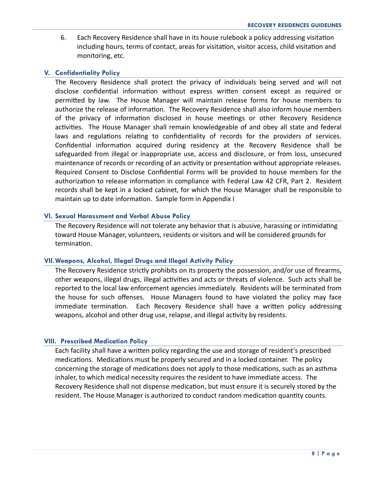6. Each Recovery Residence shall have in its house rulebook a policy addressing visitation including hours, terms of contact, areas for visitation, visitor access, child visitation and monitoring, etc.

#### **V. Confidentiality Policy**

The Recovery Residence shall protect the privacy of individuals being served and will not disclose confidential information without express written consent except as required or permitted by law. The House Manager will maintain release forms for house members to authorize the release of information. The Recovery Residence shall also inform house members of the privacy of information disclosed in house meetings or other Recovery Residence activities. The House Manager shall remain knowledgeable of and obey all state and federal laws and regulations relating to confidentiality of records for the providers of services. Confidential information acquired during residency at the Recovery Residence shall be safeguarded from illegal or inappropriate use, access and disclosure, or from loss, unsecured maintenance of records or recording of an activity or presentation without appropriate releases. Required Consent to Disclose Confidential Forms will be provided to house members for the authorization to release information in compliance with Federal Law 42 CFR, Part 2. Resident records shall be kept in a locked cabinet, for which the House Manager shall be responsible to maintain up to date information. Sample form in Appendix I

#### **VI. Sexual Harassment and Verbal Abuse Policy**

The Recovery Residence will not tolerate any behavior that is abusive, harassing or intimidating toward House Manager, volunteers, residents or visitors and will be considered grounds for termination.

#### **VII.Weapons, Alcohol, Illegal Drugs and Illegal Activity Policy**

The Recovery Residence strictly prohibits on its property the possession, and/or use of firearms, other weapons, illegal drugs, illegal activities and acts or threats of violence. Such acts shall be reported to the local law enforcement agencies immediately. Residents will be terminated from the house for such offenses. House Managers found to have violated the policy may face immediate termination. Each Recovery Residence shall have a written policy addressing weapons, alcohol and other drug use, relapse, and illegal activity by residents.

#### **VIII. Prescribed Medication Policy**

Each facility shall have a written policy regarding the use and storage of resident's prescribed medications. Medications must be properly secured and in a locked container. The policy concerning the storage of medications does not apply to those medications, such as an asthma inhaler, to which medical necessity requires the resident to have immediate access. The Recovery Residence shall not dispense medication, but must ensure it is securely stored by the resident. The House Manager is authorized to conduct random medication quantity counts.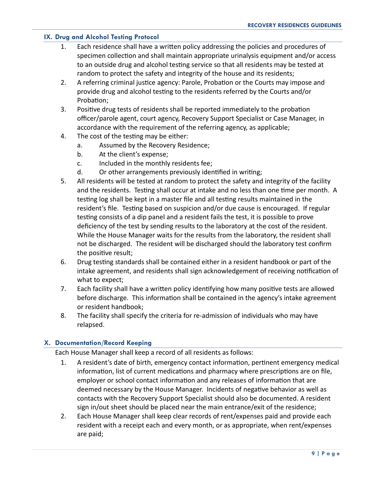#### **IX. Drug and Alcohol Testing Protocol**

- 1. Each residence shall have a written policy addressing the policies and procedures of specimen collection and shall maintain appropriate urinalysis equipment and/or access to an outside drug and alcohol testing service so that all residents may be tested at random to protect the safety and integrity of the house and its residents;
- 2. A referring criminal justice agency: Parole, Probation or the Courts may impose and provide drug and alcohol testing to the residents referred by the Courts and/or Probation;
- 3. Positive drug tests of residents shall be reported immediately to the probation officer/parole agent, court agency, Recovery Support Specialist or Case Manager, in accordance with the requirement of the referring agency, as applicable;
- 4. The cost of the testing may be either:
	- a. Assumed by the Recovery Residence;
	- b. At the client's expense;
	- c. Included in the monthly residents fee;
	- d. Or other arrangements previously identified in writing;
- 5. All residents will be tested at random to protect the safety and integrity of the facility and the residents. Testing shall occur at intake and no less than one time per month. A testing log shall be kept in a master file and all testing results maintained in the resident's file. Testing based on suspicion and/or due cause is encouraged. If regular testing consists of a dip panel and a resident fails the test, it is possible to prove deficiency of the test by sending results to the laboratory at the cost of the resident. While the House Manager waits for the results from the laboratory, the resident shall not be discharged. The resident will be discharged should the laboratory test confirm the positive result;
- 6. Drug testing standards shall be contained either in a resident handbook or part of the intake agreement, and residents shall sign acknowledgement of receiving notification of what to expect;
- 7. Each facility shall have a written policy identifying how many positive tests are allowed before discharge. This information shall be contained in the agency's intake agreement or resident handbook;
- 8. The facility shall specify the criteria for re-admission of individuals who may have relapsed.

#### **X. Documentation/Record Keeping**

Each House Manager shall keep a record of all residents as follows:

- 1. A resident's date of birth, emergency contact information, pertinent emergency medical information, list of current medications and pharmacy where prescriptions are on file, employer or school contact information and any releases of information that are deemed necessary by the House Manager. Incidents of negative behavior as well as contacts with the Recovery Support Specialist should also be documented. A resident sign in/out sheet should be placed near the main entrance/exit of the residence;
- 2. Each House Manager shall keep clear records of rent/expenses paid and provide each resident with a receipt each and every month, or as appropriate, when rent/expenses are paid;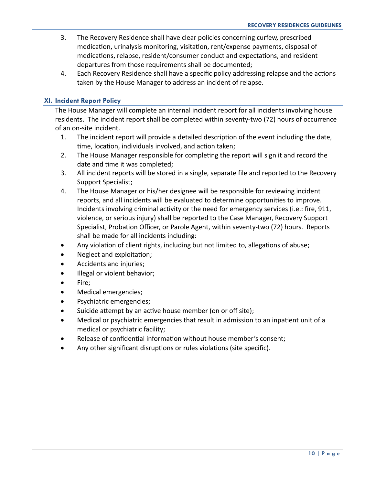- 3. The Recovery Residence shall have clear policies concerning curfew, prescribed medication, urinalysis monitoring, visitation, rent/expense payments, disposal of medications, relapse, resident/consumer conduct and expectations, and resident departures from those requirements shall be documented;
- 4. Each Recovery Residence shall have a specific policy addressing relapse and the actions taken by the House Manager to address an incident of relapse.

#### **XI. Incident Report Policy**

The House Manager will complete an internal incident report for all incidents involving house residents. The incident report shall be completed within seventy-two (72) hours of occurrence of an on-site incident.

- 1. The incident report will provide a detailed description of the event including the date, time, location, individuals involved, and action taken;
- 2. The House Manager responsible for completing the report will sign it and record the date and time it was completed;
- 3. All incident reports will be stored in a single, separate file and reported to the Recovery Support Specialist;
- 4. The House Manager or his/her designee will be responsible for reviewing incident reports, and all incidents will be evaluated to determine opportunities to improve. Incidents involving criminal activity or the need for emergency services (i.e.: fire, 911, violence, or serious injury) shall be reported to the Case Manager, Recovery Support Specialist, Probation Officer, or Parole Agent, within seventy-two (72) hours. Reports shall be made for all incidents including:
- Any violation of client rights, including but not limited to, allegations of abuse;
- Neglect and exploitation;
- Accidents and injuries;
- Illegal or violent behavior;
- Fire;
- Medical emergencies;
- Psychiatric emergencies;
- Suicide attempt by an active house member (on or off site);
- Medical or psychiatric emergencies that result in admission to an inpatient unit of a medical or psychiatric facility;
- Release of confidential information without house member's consent;
- Any other significant disruptions or rules violations (site specific).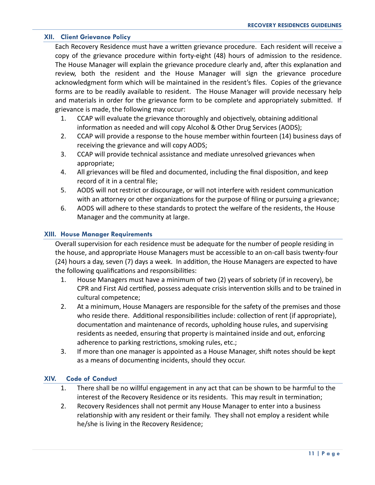#### **XII. Client Grievance Policy**

Each Recovery Residence must have a written grievance procedure. Each resident will receive a copy of the grievance procedure within forty-eight (48) hours of admission to the residence. The House Manager will explain the grievance procedure clearly and, after this explanation and review, both the resident and the House Manager will sign the grievance procedure acknowledgment form which will be maintained in the resident's files. Copies of the grievance forms are to be readily available to resident. The House Manager will provide necessary help and materials in order for the grievance form to be complete and appropriately submitted. If grievance is made, the following may occur:

- 1. CCAP will evaluate the grievance thoroughly and objectively, obtaining additional information as needed and will copy Alcohol & Other Drug Services (AODS);
- 2. CCAP will provide a response to the house member within fourteen (14) business days of receiving the grievance and will copy AODS;
- 3. CCAP will provide technical assistance and mediate unresolved grievances when appropriate;
- 4. All grievances will be filed and documented, including the final disposition, and keep record of it in a central file;
- 5. AODS will not restrict or discourage, or will not interfere with resident communication with an attorney or other organizations for the purpose of filing or pursuing a grievance;
- 6. AODS will adhere to these standards to protect the welfare of the residents, the House Manager and the community at large.

#### **XIII. House Manager Requirements**

Overall supervision for each residence must be adequate for the number of people residing in the house, and appropriate House Managers must be accessible to an on-call basis twenty-four (24) hours a day, seven (7) days a week. In addition, the House Managers are expected to have the following qualifications and responsibilities:

- 1. House Managers must have a minimum of two (2) years of sobriety (if in recovery), be CPR and First Aid certified, possess adequate crisis intervention skills and to be trained in cultural competence;
- 2. At a minimum, House Managers are responsible for the safety of the premises and those who reside there. Additional responsibilities include: collection of rent (if appropriate), documentation and maintenance of records, upholding house rules, and supervising residents as needed, ensuring that property is maintained inside and out, enforcing adherence to parking restrictions, smoking rules, etc.;
- 3. If more than one manager is appointed as a House Manager, shift notes should be kept as a means of documenting incidents, should they occur.

#### **XIV. Code of Conduct**

- 1. There shall be no willful engagement in any act that can be shown to be harmful to the interest of the Recovery Residence or its residents. This may result in termination;
- 2. Recovery Residences shall not permit any House Manager to enter into a business relationship with any resident or their family. They shall not employ a resident while he/she is living in the Recovery Residence;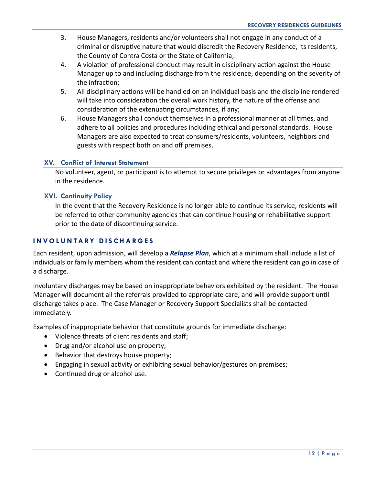- 3. House Managers, residents and/or volunteers shall not engage in any conduct of a criminal or disruptive nature that would discredit the Recovery Residence, its residents, the County of Contra Costa or the State of California;
- 4. A violation of professional conduct may result in disciplinary action against the House Manager up to and including discharge from the residence, depending on the severity of the infraction;
- 5. All disciplinary actions will be handled on an individual basis and the discipline rendered will take into consideration the overall work history, the nature of the offense and consideration of the extenuating circumstances, if any;
- 6. House Managers shall conduct themselves in a professional manner at all times, and adhere to all policies and procedures including ethical and personal standards. House Managers are also expected to treat consumers/residents, volunteers, neighbors and guests with respect both on and off premises.

#### **XV. Conflict of Interest Statement**

No volunteer, agent, or participant is to attempt to secure privileges or advantages from anyone in the residence.

#### **XVI. Continuity Policy**

In the event that the Recovery Residence is no longer able to continue its service, residents will be referred to other community agencies that can continue housing or rehabilitative support prior to the date of discontinuing service.

# **I N V O L U N T A RY D I S C H A R G E S**

Each resident, upon admission, will develop a *Relapse Plan*, which at a minimum shall include a list of individuals or family members whom the resident can contact and where the resident can go in case of a discharge.

Involuntary discharges may be based on inappropriate behaviors exhibited by the resident. The House Manager will document all the referrals provided to appropriate care, and will provide support until discharge takes place. The Case Manager or Recovery Support Specialists shall be contacted immediately.

Examples of inappropriate behavior that constitute grounds for immediate discharge:

- Violence threats of client residents and staff;
- Drug and/or alcohol use on property;
- **Behavior that destroys house property;**
- Engaging in sexual activity or exhibiting sexual behavior/gestures on premises;
- Continued drug or alcohol use.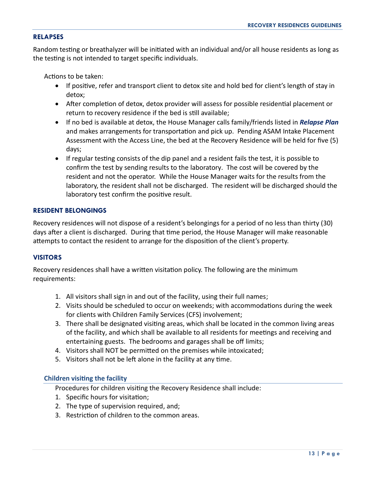#### **RELAPSES**

Random testing or breathalyzer will be initiated with an individual and/or all house residents as long as the testing is not intended to target specific individuals.

Actions to be taken:

- If positive, refer and transport client to detox site and hold bed for client's length of stay in detox;
- After completion of detox, detox provider will assess for possible residential placement or return to recovery residence if the bed is still available;
- If no bed is available at detox, the House Manager calls family/friends listed in *Relapse Plan* and makes arrangements for transportation and pick up. Pending ASAM Intake Placement Assessment with the Access Line, the bed at the Recovery Residence will be held for five (5) days;
- If regular testing consists of the dip panel and a resident fails the test, it is possible to confirm the test by sending results to the laboratory. The cost will be covered by the resident and not the operator. While the House Manager waits for the results from the laboratory, the resident shall not be discharged. The resident will be discharged should the laboratory test confirm the positive result.

#### **RESIDENT BELONGINGS**

Recovery residences will not dispose of a resident's belongings for a period of no less than thirty (30) days after a client is discharged. During that time period, the House Manager will make reasonable attempts to contact the resident to arrange for the disposition of the client's property.

#### **VISITORS**

Recovery residences shall have a written visitation policy. The following are the minimum requirements:

- 1. All visitors shall sign in and out of the facility, using their full names;
- 2. Visits should be scheduled to occur on weekends; with accommodations during the week for clients with Children Family Services (CFS) involvement;
- 3. There shall be designated visiting areas, which shall be located in the common living areas of the facility, and which shall be available to all residents for meetings and receiving and entertaining guests. The bedrooms and garages shall be off limits;
- 4. Visitors shall NOT be permitted on the premises while intoxicated;
- 5. Visitors shall not be left alone in the facility at any time.

#### **Children visiting the facility**

Procedures for children visiting the Recovery Residence shall include:

- 1. Specific hours for visitation;
- 2. The type of supervision required, and;
- 3. Restriction of children to the common areas.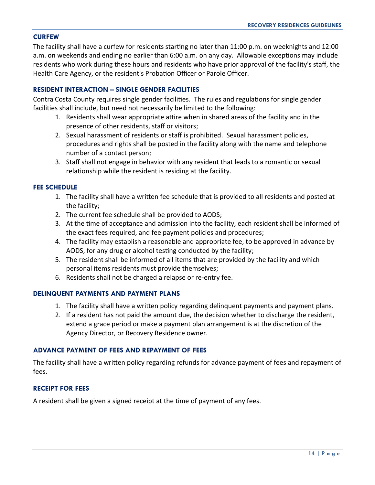#### **CURFEW**

The facility shall have a curfew for residents starting no later than 11:00 p.m. on weeknights and 12:00 a.m. on weekends and ending no earlier than 6:00 a.m. on any day. Allowable exceptions may include residents who work during these hours and residents who have prior approval of the facility's staff, the Health Care Agency, or the resident's Probation Officer or Parole Officer.

#### **RESIDENT INTERACTION – SINGLE GENDER FACILITIES**

Contra Costa County requires single gender facilities. The rules and regulations for single gender facilities shall include, but need not necessarily be limited to the following:

- 1. Residents shall wear appropriate attire when in shared areas of the facility and in the presence of other residents, staff or visitors;
- 2. Sexual harassment of residents or staff is prohibited. Sexual harassment policies, procedures and rights shall be posted in the facility along with the name and telephone number of a contact person;
- 3. Staff shall not engage in behavior with any resident that leads to a romantic or sexual relationship while the resident is residing at the facility.

#### **FEE SCHEDULE**

- 1. The facility shall have a written fee schedule that is provided to all residents and posted at the facility;
- 2. The current fee schedule shall be provided to AODS;
- 3. At the time of acceptance and admission into the facility, each resident shall be informed of the exact fees required, and fee payment policies and procedures;
- 4. The facility may establish a reasonable and appropriate fee, to be approved in advance by AODS, for any drug or alcohol testing conducted by the facility;
- 5. The resident shall be informed of all items that are provided by the facility and which personal items residents must provide themselves;
- 6. Residents shall not be charged a relapse or re-entry fee.

#### **DELINQUENT PAYMENTS AND PAYMENT PLANS**

- 1. The facility shall have a written policy regarding delinquent payments and payment plans.
- 2. If a resident has not paid the amount due, the decision whether to discharge the resident, extend a grace period or make a payment plan arrangement is at the discretion of the Agency Director, or Recovery Residence owner.

#### **ADVANCE PAYMENT OF FEES AND REPAYMENT OF FEES**

The facility shall have a written policy regarding refunds for advance payment of fees and repayment of fees.

#### **RECEIPT FOR FEES**

A resident shall be given a signed receipt at the time of payment of any fees.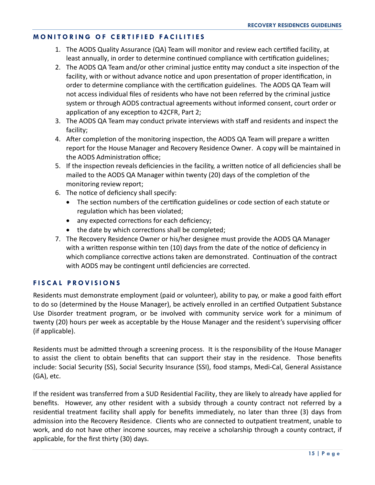# **M O N I T O R I N G O F C E R T I F I E D F A C I L I T I E S**

- 1. The AODS Quality Assurance (QA) Team will monitor and review each certified facility, at least annually, in order to determine continued compliance with certification guidelines;
- 2. The AODS QA Team and/or other criminal justice entity may conduct a site inspection of the facility, with or without advance notice and upon presentation of proper identification, in order to determine compliance with the certification guidelines. The AODS QA Team will not access individual files of residents who have not been referred by the criminal justice system or through AODS contractual agreements without informed consent, court order or application of any exception to 42CFR, Part 2;
- 3. The AODS QA Team may conduct private interviews with staff and residents and inspect the facility;
- 4. After completion of the monitoring inspection, the AODS QA Team will prepare a written report for the House Manager and Recovery Residence Owner. A copy will be maintained in the AODS Administration office;
- 5. If the inspection reveals deficiencies in the facility, a written notice of all deficiencies shall be mailed to the AODS QA Manager within twenty (20) days of the completion of the monitoring review report;
- 6. The notice of deficiency shall specify:
	- The section numbers of the certification guidelines or code section of each statute or regulation which has been violated;
	- any expected corrections for each deficiency;
	- the date by which corrections shall be completed;
- 7. The Recovery Residence Owner or his/her designee must provide the AODS QA Manager with a written response within ten (10) days from the date of the notice of deficiency in which compliance corrective actions taken are demonstrated. Continuation of the contract with AODS may be contingent until deficiencies are corrected.

# **F I S C A L P R O V I S I O N S**

Residents must demonstrate employment (paid or volunteer), ability to pay, or make a good faith effort to do so (determined by the House Manager), be actively enrolled in an certified Outpatient Substance Use Disorder treatment program, or be involved with community service work for a minimum of twenty (20) hours per week as acceptable by the House Manager and the resident's supervising officer (if applicable).

Residents must be admitted through a screening process. It is the responsibility of the House Manager to assist the client to obtain benefits that can support their stay in the residence. Those benefits include: Social Security (SS), Social Security Insurance (SSI), food stamps, Medi-Cal, General Assistance (GA), etc.

If the resident was transferred from a SUD Residential Facility, they are likely to already have applied for benefits. However, any other resident with a subsidy through a county contract not referred by a residential treatment facility shall apply for benefits immediately, no later than three (3) days from admission into the Recovery Residence. Clients who are connected to outpatient treatment, unable to work, and do not have other income sources, may receive a scholarship through a county contract, if applicable, for the first thirty (30) days.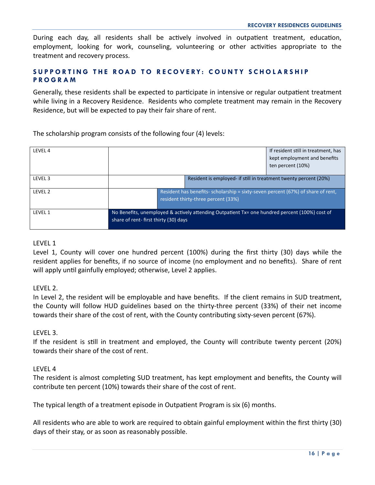During each day, all residents shall be actively involved in outpatient treatment, education, employment, looking for work, counseling, volunteering or other activities appropriate to the treatment and recovery process.

### SUPPORTING THE ROAD TO RECOVERY: COUNTY SCHOLARSHIP **P R O G R A M**

Generally, these residents shall be expected to participate in intensive or regular outpatient treatment while living in a Recovery Residence. Residents who complete treatment may remain in the Recovery Residence, but will be expected to pay their fair share of rent.

The scholarship program consists of the following four (4) levels:

| LEVEL 4 |                                                                                                                                        | If resident still in treatment, has<br>kept employment and benefits |  |  |  |
|---------|----------------------------------------------------------------------------------------------------------------------------------------|---------------------------------------------------------------------|--|--|--|
|         |                                                                                                                                        | ten percent (10%)                                                   |  |  |  |
| LEVEL 3 |                                                                                                                                        | Resident is employed- if still in treatment twenty percent (20%)    |  |  |  |
| LEVEL 2 | Resident has benefits-scholarship = sixty-seven percent (67%) of share of rent,<br>resident thirty-three percent (33%)                 |                                                                     |  |  |  |
| LEVEL 1 | No Benefits, unemployed & actively attending Outpatient Tx= one hundred percent (100%) cost of<br>share of rent-first thirty (30) days |                                                                     |  |  |  |

#### LEVEL 1

Level 1, County will cover one hundred percent (100%) during the first thirty (30) days while the resident applies for benefits, if no source of income (no employment and no benefits). Share of rent will apply until gainfully employed; otherwise, Level 2 applies.

#### LEVEL 2.

In Level 2, the resident will be employable and have benefits. If the client remains in SUD treatment, the County will follow HUD guidelines based on the thirty-three percent (33%) of their net income towards their share of the cost of rent, with the County contributing sixty-seven percent (67%).

#### LEVEL 3.

If the resident is still in treatment and employed, the County will contribute twenty percent (20%) towards their share of the cost of rent.

#### LEVEL 4

The resident is almost completing SUD treatment, has kept employment and benefits, the County will contribute ten percent (10%) towards their share of the cost of rent.

The typical length of a treatment episode in Outpatient Program is six (6) months.

All residents who are able to work are required to obtain gainful employment within the first thirty (30) days of their stay, or as soon as reasonably possible.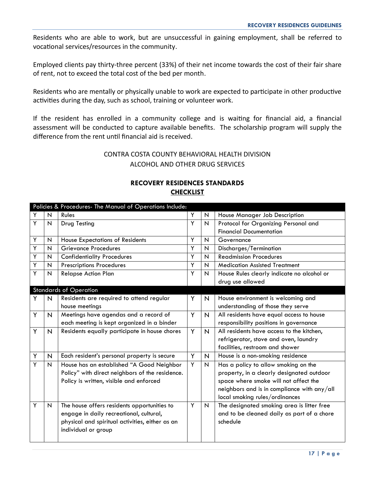Residents who are able to work, but are unsuccessful in gaining employment, shall be referred to vocational services/resources in the community.

Employed clients pay thirty-three percent (33%) of their net income towards the cost of their fair share of rent, not to exceed the total cost of the bed per month.

Residents who are mentally or physically unable to work are expected to participate in other productive activities during the day, such as school, training or volunteer work.

If the resident has enrolled in a community college and is waiting for financial aid, a financial assessment will be conducted to capture available benefits. The scholarship program will supply the difference from the rent until financial aid is received.

# CONTRA COSTA COUNTY BEHAVIORAL HEALTH DIVISION ALCOHOL AND OTHER DRUG SERVICES

|   |                         | Policies & Procedures- The Manual of Operations Include: |   |                           |                                             |
|---|-------------------------|----------------------------------------------------------|---|---------------------------|---------------------------------------------|
| Y | N                       | Rules                                                    | Y | $\boldsymbol{\mathsf{N}}$ | House Manager Job Description               |
| Υ | N                       | Drug Testing                                             | Y | N                         | Protocol for Organizing Personal and        |
|   |                         |                                                          |   |                           | <b>Financial Documentation</b>              |
| Y | N                       | <b>House Expectations of Residents</b>                   | Y | $\mathsf{N}$              | Governance                                  |
| Y | N                       | <b>Grievance Procedures</b>                              | Ÿ | $\overline{\mathsf{N}}$   | Discharges/Termination                      |
| Y | N                       | <b>Confidentiality Procedures</b>                        | Y | $\overline{\mathsf{N}}$   | <b>Readmission Procedures</b>               |
| Y | N                       | <b>Prescriptions Procedures</b>                          | Y | $\overline{\mathsf{N}}$   | <b>Medication Assisted Treatment</b>        |
| Y | N                       | <b>Relapse Action Plan</b>                               | Y | $\mathsf{N}$              | House Rules clearly indicate no alcohol or  |
|   |                         |                                                          |   |                           | drug use allowed                            |
|   |                         | <b>Standards of Operation</b>                            |   |                           |                                             |
| Y | N                       | Residents are required to attend regular                 | Y | N                         | House environment is welcoming and          |
|   |                         | house meetings                                           |   |                           | understanding of those they serve           |
| Y | $\overline{\mathsf{N}}$ | Meetings have agendas and a record of                    | Y | N                         | All residents have equal access to house    |
|   |                         | each meeting is kept organized in a binder               |   |                           | responsibility positions in governance      |
| Y | $\overline{N}$          | Residents equally participate in house chores            | Y | $\overline{N}$            | All residents have access to the kitchen,   |
|   |                         |                                                          |   |                           | refrigerator, stove and oven, laundry       |
|   |                         |                                                          |   |                           | facilities, restroom and shower             |
| Y | $\mathsf{N}$            | Each resident's personal property is secure              | Y | $\overline{\mathsf{N}}$   | House is a non-smoking residence            |
| Y | Ν                       | House has an established "A Good Neighbor                | Y | N                         | Has a policy to allow smoking on the        |
|   |                         | Policy" with direct neighbors of the residence.          |   |                           | property, in a clearly designated outdoor   |
|   |                         | Policy is written, visible and enforced                  |   |                           | space where smoke will not affect the       |
|   |                         |                                                          |   |                           | neighbors and is in compliance with any/all |
|   |                         |                                                          |   |                           | local smoking rules/ordinances              |
| Y | N                       | The house offers residents opportunities to              | Y | N                         | The designated smoking area is litter free  |
|   |                         | engage in daily recreational, cultural,                  |   |                           | and to be cleaned daily as part of a chore  |
|   |                         | physical and spiritual activities, either as an          |   |                           | schedule                                    |
|   |                         | individual or group                                      |   |                           |                                             |
|   |                         |                                                          |   |                           |                                             |

# **RECOVERY RESIDENCES STANDARDS CHECKLIST**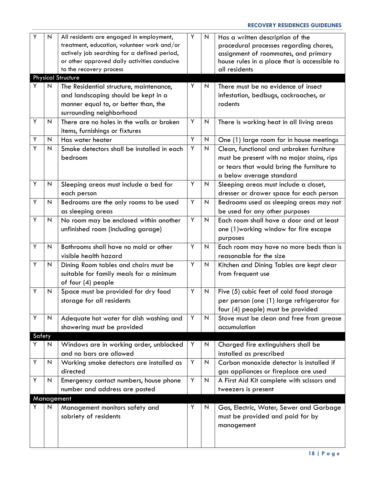| Y          | N | All residents are engaged in employment,<br>treatment, education, volunteer work and/or | Υ | N                         | Has a written description of the<br>procedural processes regarding chores, |
|------------|---|-----------------------------------------------------------------------------------------|---|---------------------------|----------------------------------------------------------------------------|
|            |   | actively job searching for a defined period,                                            |   |                           | assignment of roommates, and primary                                       |
|            |   | or other approved daily activities conducive                                            |   |                           | house rules in a place that is accessible to                               |
|            |   | to the recovery process                                                                 |   |                           | all residents                                                              |
|            |   | <b>Physical Structure</b>                                                               |   |                           |                                                                            |
| Y          | N | The Residential structure, maintenance,                                                 | Y | N                         | There must be no evidence of insect                                        |
|            |   | and landscaping should be kept in a                                                     |   |                           | infestation, bedbugs, cockroaches, or                                      |
|            |   | manner equal to, or better than, the                                                    |   |                           | rodents                                                                    |
|            |   | surrounding neighborhood                                                                |   |                           |                                                                            |
| Y          | N | There are no holes in the walls or broken                                               | Y | N                         | There is working heat in all living areas                                  |
|            |   | items, furnishings or fixtures                                                          |   |                           |                                                                            |
| Y          | N | Has water heater                                                                        | Y | $\mathsf{N}$              | One (1) large room for in house meetings                                   |
| Y          | N | Smoke detectors shall be installed in each                                              | Y | $\boldsymbol{\mathsf{N}}$ | Clean, functional and unbroken furniture                                   |
|            |   | bedroom                                                                                 |   |                           | must be present with no major stains, rips                                 |
|            |   |                                                                                         |   |                           | or tears that would bring the furniture to                                 |
|            |   |                                                                                         |   |                           | a below average standard                                                   |
| Y          | N | Sleeping areas must include a bed for                                                   | Y | N                         | Sleeping areas must include a closet,                                      |
|            |   | each person                                                                             |   |                           | dresser or drawer space for each person                                    |
| Y          | N | Bedrooms are the only rooms to be used                                                  | Y | N                         | Bedrooms used as sleeping areas may not                                    |
|            |   | as sleeping areas                                                                       |   |                           | be used for any other purposes                                             |
| Y          | N | No room may be enclosed within another                                                  | Y | N                         | Each room shall have a door and at least                                   |
|            |   | unfinished room (including garage)                                                      |   |                           | one (1) working window for fire escape                                     |
|            |   |                                                                                         |   |                           | purposes                                                                   |
| Y          | N | Bathrooms shall have no mold or other                                                   | Y | N                         | Each room may have no more beds than is                                    |
|            |   | visible health hazard                                                                   |   |                           | reasonable for the size                                                    |
| Y          | N | Dining Room tables and chairs must be                                                   | Y | N                         | Kitchen and Dining Tables are kept clear                                   |
|            |   | suitable for family meals for a minimum                                                 |   |                           | from frequent use                                                          |
|            |   | of four (4) people                                                                      |   |                           |                                                                            |
| Y          | N | Space must be provided for dry food                                                     | Y | N                         | Five (5) cubic feet of cold food storage                                   |
|            |   | storage for all residents                                                               |   |                           | per person (one (1) large refrigerator for                                 |
|            |   |                                                                                         |   |                           | four (4) people) must be provided                                          |
| Υ          | N | Adequate hot water for dish washing and                                                 | Y | $\mathsf{N}$              | Stove must be clean and free from grease                                   |
|            |   | showering must be provided                                                              |   |                           | accumulation                                                               |
| Safety     |   |                                                                                         |   |                           |                                                                            |
| Y          | N | Windows are in working order, unblocked                                                 | Y | N                         | Charged fire extinguishers shall be                                        |
|            |   | and no bars are allowed                                                                 |   |                           | installed as prescribed                                                    |
| Υ          | N | Working smoke detectors are installed as                                                | Υ | $\overline{N}$            | Carbon monoxide detector is installed if                                   |
|            |   | directed                                                                                |   |                           | gas appliances or fireplace are used                                       |
| Υ          | N | Emergency contact numbers, house phone                                                  | Y | $\overline{N}$            | A First Aid Kit complete with scissors and                                 |
|            |   | number and address are posted                                                           |   |                           | tweezers is present                                                        |
| Management |   |                                                                                         |   |                           |                                                                            |
| Y          | N | Management monitors safety and                                                          | Y | N                         | Gas, Electric, Water, Sewer and Garbage                                    |
|            |   | sobriety of residents                                                                   |   |                           | must be provided and paid for by                                           |
|            |   |                                                                                         |   |                           | management                                                                 |
|            |   |                                                                                         |   |                           |                                                                            |
|            |   |                                                                                         |   |                           |                                                                            |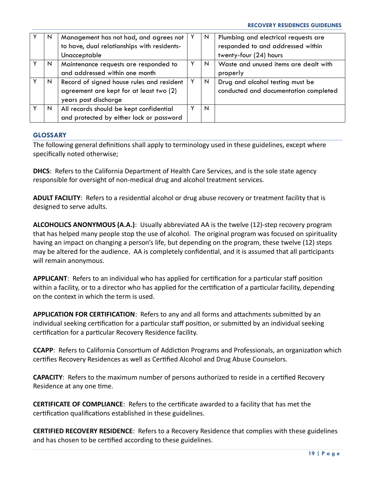| N | Management has not had, and agrees not      | N | Plumbing and electrical requests are  |
|---|---------------------------------------------|---|---------------------------------------|
|   | to have, dual relationships with residents- |   | responded to and addressed within     |
|   | Unacceptable                                |   | twenty-four (24) hours                |
| N | Maintenance requests are responded to       | N | Waste and unused items are dealt with |
|   | and addressed within one month              |   | properly                              |
| N | Record of signed house rules and resident   | N | Drug and alcohol testing must be      |
|   | agreement are kept for at least two (2)     |   | conducted and documentation completed |
|   | years post discharge                        |   |                                       |
| N | All records should be kept confidential     | N |                                       |
|   | and protected by either lock or password    |   |                                       |

#### **GLOSSARY**

The following general definitions shall apply to terminology used in these guidelines, except where specifically noted otherwise;

**DHCS**: Refers to the California Department of Health Care Services, and is the sole state agency responsible for oversight of non-medical drug and alcohol treatment services.

**ADULT FACILITY**: Refers to a residential alcohol or drug abuse recovery or treatment facility that is designed to serve adults.

**ALCOHOLICS ANONYMOUS (A.A.)**: Usually abbreviated AA is the twelve (12)-step recovery program that has helped many people stop the use of alcohol. The original program was focused on spirituality having an impact on changing a person's life, but depending on the program, these twelve (12) steps may be altered for the audience. AA is completely confidential, and it is assumed that all participants will remain anonymous.

**APPLICANT**: Refers to an individual who has applied for certification for a particular staff position within a facility, or to a director who has applied for the certification of a particular facility, depending on the context in which the term is used.

**APPLICATION FOR CERTIFICATION**: Refers to any and all forms and attachments submitted by an individual seeking certification for a particular staff position, or submitted by an individual seeking certification for a particular Recovery Residence facility.

**CCAPP**: Refers to California Consortium of Addiction Programs and Professionals, an organization which certifies Recovery Residences as well as Certified Alcohol and Drug Abuse Counselors.

**CAPACITY**: Refers to the maximum number of persons authorized to reside in a certified Recovery Residence at any one time.

**CERTIFICATE OF COMPLIANCE**: Refers to the certificate awarded to a facility that has met the certification qualifications established in these guidelines.

**CERTIFIED RECOVERY RESIDENCE**: Refers to a Recovery Residence that complies with these guidelines and has chosen to be certified according to these guidelines.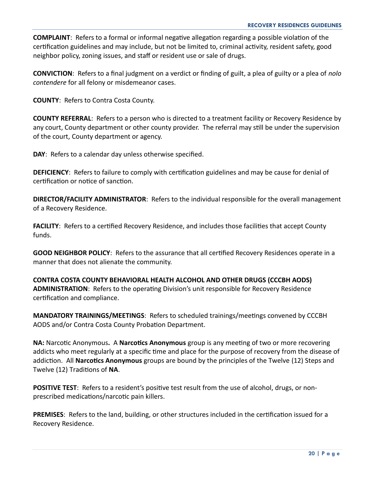**COMPLAINT**: Refers to a formal or informal negative allegation regarding a possible violation of the certification guidelines and may include, but not be limited to, criminal activity, resident safety, good neighbor policy, zoning issues, and staff or resident use or sale of drugs.

**CONVICTION**: Refers to a final judgment on a verdict or finding of guilt, a plea of guilty or a plea of *nolo contendere* for all felony or misdemeanor cases.

**COUNTY**: Refers to Contra Costa County.

**COUNTY REFERRAL**: Refers to a person who is directed to a treatment facility or Recovery Residence by any court, County department or other county provider. The referral may still be under the supervision of the court, County department or agency.

**DAY**: Refers to a calendar day unless otherwise specified.

**DEFICIENCY**: Refers to failure to comply with certification guidelines and may be cause for denial of certification or notice of sanction.

**DIRECTOR/FACILITY ADMINISTRATOR**: Refers to the individual responsible for the overall management of a Recovery Residence.

**FACILITY**: Refers to a certified Recovery Residence, and includes those facilities that accept County funds.

**GOOD NEIGHBOR POLICY**: Refers to the assurance that all certified Recovery Residences operate in a manner that does not alienate the community.

**CONTRA COSTA COUNTY BEHAVIORAL HEALTH ALCOHOL AND OTHER DRUGS (CCCBH AODS) ADMINISTRATION**: Refers to the operating Division's unit responsible for Recovery Residence certification and compliance.

**MANDATORY TRAININGS/MEETINGS**: Refers to scheduled trainings/meetings convened by CCCBH AODS and/or Contra Costa County Probation Department.

**NA:** Narcotic Anonymous**.** A **Narcotics Anonymous** group is any meeting of two or more recovering addicts who meet regularly at a specific time and place for the purpose of recovery from the disease of addiction. All **Narcotics Anonymous** groups are bound by the principles of the Twelve (12) Steps and Twelve (12) Traditions of **NA**.

**POSITIVE TEST**: Refers to a resident's positive test result from the use of alcohol, drugs, or nonprescribed medications/narcotic pain killers.

**PREMISES**: Refers to the land, building, or other structures included in the certification issued for a Recovery Residence.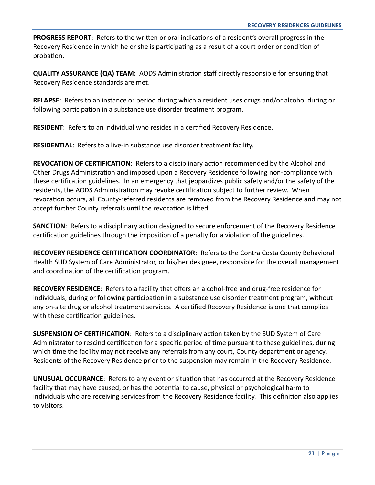**PROGRESS REPORT**: Refers to the written or oral indications of a resident's overall progress in the Recovery Residence in which he or she is participating as a result of a court order or condition of probation.

**QUALITY ASSURANCE (QA) TEAM:** AODS Administration staff directly responsible for ensuring that Recovery Residence standards are met.

**RELAPSE**: Refers to an instance or period during which a resident uses drugs and/or alcohol during or following participation in a substance use disorder treatment program.

**RESIDENT**: Refers to an individual who resides in a certified Recovery Residence.

**RESIDENTIAL**: Refers to a live-in substance use disorder treatment facility.

**REVOCATION OF CERTIFICATION**: Refers to a disciplinary action recommended by the Alcohol and Other Drugs Administration and imposed upon a Recovery Residence following non-compliance with these certification guidelines. In an emergency that jeopardizes public safety and/or the safety of the residents, the AODS Administration may revoke certification subject to further review. When revocation occurs, all County-referred residents are removed from the Recovery Residence and may not accept further County referrals until the revocation is lifted.

**SANCTION**: Refers to a disciplinary action designed to secure enforcement of the Recovery Residence certification guidelines through the imposition of a penalty for a violation of the guidelines.

**RECOVERY RESIDENCE CERTIFICATION COORDINATOR**: Refers to the Contra Costa County Behavioral Health SUD System of Care Administrator, or his/her designee, responsible for the overall management and coordination of the certification program.

**RECOVERY RESIDENCE**: Refers to a facility that offers an alcohol-free and drug-free residence for individuals, during or following participation in a substance use disorder treatment program, without any on-site drug or alcohol treatment services. A certified Recovery Residence is one that complies with these certification guidelines.

**SUSPENSION OF CERTIFICATION**: Refers to a disciplinary action taken by the SUD System of Care Administrator to rescind certification for a specific period of time pursuant to these guidelines, during which time the facility may not receive any referrals from any court, County department or agency. Residents of the Recovery Residence prior to the suspension may remain in the Recovery Residence.

**UNUSUAL OCCURANCE**: Refers to any event or situation that has occurred at the Recovery Residence facility that may have caused, or has the potential to cause, physical or psychological harm to individuals who are receiving services from the Recovery Residence facility. This definition also applies to visitors.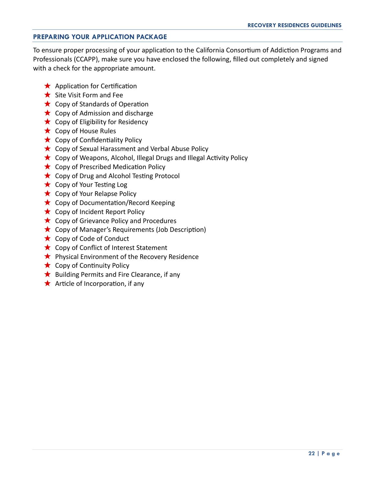#### **PREPARING YOUR APPLICATION PACKAGE**

To ensure proper processing of your application to the California Consortium of Addiction Programs and Professionals (CCAPP), make sure you have enclosed the following, filled out completely and signed with a check for the appropriate amount.

- $\star$  Application for Certification
- $\bigstar$  Site Visit Form and Fee
- $\star$  Copy of Standards of Operation
- $\star$  Copy of Admission and discharge
- $\star$  Copy of Eligibility for Residency
- $\star$  Copy of House Rules
- $\star$  Copy of Confidentiality Policy
- $\star$  Copy of Sexual Harassment and Verbal Abuse Policy
- $\star$  Copy of Weapons, Alcohol, Illegal Drugs and Illegal Activity Policy
- $\star$  Copy of Prescribed Medication Policy
- $\star$  Copy of Drug and Alcohol Testing Protocol
- $\star$  Copy of Your Testing Log
- $\star$  Copy of Your Relapse Policy
- $\star$  Copy of Documentation/Record Keeping
- $\star$  Copy of Incident Report Policy
- $\star$  Copy of Grievance Policy and Procedures
- Copy of Manager's Requirements (Job Description)
- $\star$  Copy of Code of Conduct
- ★ Copy of Conflict of Interest Statement
- $\star$  Physical Environment of the Recovery Residence
- $\star$  Copy of Continuity Policy
- $\star$  Building Permits and Fire Clearance, if any
- $\star$  Article of Incorporation, if any